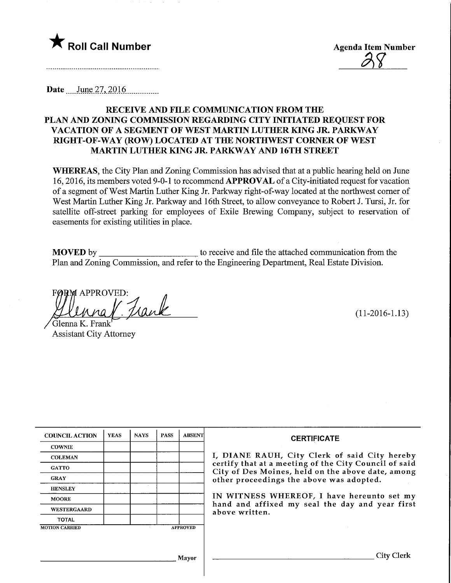

**Date** June 27, 2016

# RECEIVE AND FILE COMMUNICATION FROM THE PLAN AND ZONING COMMISSION REGARDING CITY INITIATED REQUEST FOR VACATION OF A SEGMENT OF WEST MARTIN LUTHER KING JR. PARKWAY RIGHT-OF-WAY (ROW) LOCATED AT THE NORTHWEST CORNER OF WEST MARTIN LUTHER KING JR. PARKWAY AND 16TH STREET

WHEREAS, the City Plan and Zoning Commission has advised that at a public hearing held on June 16,2016, its members voted 9-0-1 to recommend APPROVAL of a City-initiated request for vacation of a segment of West Martin Luther King Jr. Parkway right-of-way located at the northwest comer of West Martin Luther King Jr. Parkway and 16th Street, to allow conveyance to Robert J. Tursi, Jr. for satellite off-street parking for employees of Exile Brewing Company, subject to reservation of easements for existing utilities in place.

MOVED by to receive and file the attached communication from the Plan and Zoning Commission, and refer to the Engineering Department, Real Estate Division.

**FØRM APPROVED:** Frank <u>lpina</u>

Glenna K. Frank Assistant City Attorney

|  | $(11-2016-1.13)$ |  |  |
|--|------------------|--|--|
|--|------------------|--|--|

City Clerk

| <b>COUNCIL ACTION</b> | <b>YEAS</b> | <b>NAYS</b>     | <b>PASS</b> | <b>ABSENT</b> |
|-----------------------|-------------|-----------------|-------------|---------------|
| <b>COWNIE</b>         |             |                 |             |               |
| <b>COLEMAN</b>        |             |                 |             |               |
| <b>GATTO</b>          |             |                 |             |               |
| <b>GRAY</b>           |             |                 |             |               |
| <b>HENSLEY</b>        |             |                 |             |               |
| <b>MOORE</b>          |             |                 |             |               |
| <b>WESTERGAARD</b>    |             |                 |             |               |
| <b>TOTAL</b>          |             |                 |             |               |
| <b>MOTION CARRIED</b> | ٠           | <b>APPROVED</b> |             |               |

#### **CERTIFICATE**

I, DIANE RAUH, City Clerk of said City hereby certify that at a meeting of the City Council of said City of Des Moines, held on the above date, among other proceedings the above was adopted.

IN WITNESS WHEREOF, I have hereunto set my hand and affixed my seal the day and year first above written.

Mayor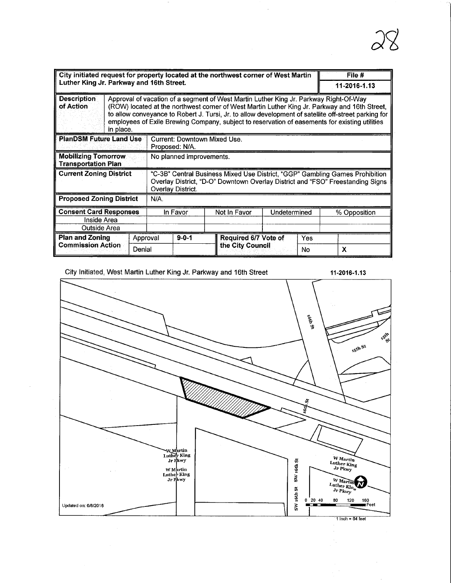| City initiated request for property located at the northwest corner of West Martin<br>Luther King Jr. Parkway and 16th Street. |                                                                                      |                                                                                                                                                                                                                                                                                                                                                                                                  |                                                                                                                                                                                     |                | File #                       |                        |              |   |
|--------------------------------------------------------------------------------------------------------------------------------|--------------------------------------------------------------------------------------|--------------------------------------------------------------------------------------------------------------------------------------------------------------------------------------------------------------------------------------------------------------------------------------------------------------------------------------------------------------------------------------------------|-------------------------------------------------------------------------------------------------------------------------------------------------------------------------------------|----------------|------------------------------|------------------------|--------------|---|
|                                                                                                                                |                                                                                      |                                                                                                                                                                                                                                                                                                                                                                                                  |                                                                                                                                                                                     |                | 11-2016-1.13                 |                        |              |   |
| <b>Description</b><br>of Action                                                                                                | in place.                                                                            | Approval of vacation of a segment of West Martin Luther King Jr. Parkway Right-Of-Way<br>(ROW) located at the northwest corner of West Martin Luther King Jr. Parkway and 16th Street,<br>to allow conveyance to Robert J. Tursi, Jr. to allow development of satellite off-street parking for<br>employees of Exile Brewing Company, subject to reservation of easements for existing utilities |                                                                                                                                                                                     |                |                              |                        |              |   |
| <b>PlanDSM Future Land Use</b>                                                                                                 |                                                                                      |                                                                                                                                                                                                                                                                                                                                                                                                  |                                                                                                                                                                                     | Proposed: N/A. | Current: Downtown Mixed Use. |                        |              |   |
|                                                                                                                                | <b>Mobilizing Tomorrow</b><br>No planned improvements.<br><b>Transportation Plan</b> |                                                                                                                                                                                                                                                                                                                                                                                                  |                                                                                                                                                                                     |                |                              |                        |              |   |
| <b>Current Zoning District</b>                                                                                                 |                                                                                      |                                                                                                                                                                                                                                                                                                                                                                                                  | "C-3B" Central Business Mixed Use District, "GGP" Gambling Games Prohibition<br>Overlay District, "D-O" Downtown Overlay District and "FSO" Freestanding Signs<br>Overlay District. |                |                              |                        |              |   |
| <b>Proposed Zoning District</b><br>N/A.                                                                                        |                                                                                      |                                                                                                                                                                                                                                                                                                                                                                                                  |                                                                                                                                                                                     |                |                              |                        |              |   |
| <b>Consent Card Responses</b>                                                                                                  |                                                                                      | In Favor                                                                                                                                                                                                                                                                                                                                                                                         |                                                                                                                                                                                     | Not In Favor   | Undetermined                 |                        | % Opposition |   |
| Inside Area                                                                                                                    |                                                                                      |                                                                                                                                                                                                                                                                                                                                                                                                  |                                                                                                                                                                                     |                |                              |                        |              |   |
| Outside Area                                                                                                                   |                                                                                      |                                                                                                                                                                                                                                                                                                                                                                                                  |                                                                                                                                                                                     |                |                              |                        |              |   |
| Plan and Zoning                                                                                                                | Approval                                                                             |                                                                                                                                                                                                                                                                                                                                                                                                  |                                                                                                                                                                                     | $9 - 0 - 1$    | Required 6/7 Vote of         | Yes                    |              |   |
| <b>Commission Action</b>                                                                                                       |                                                                                      | Denial                                                                                                                                                                                                                                                                                                                                                                                           |                                                                                                                                                                                     |                |                              | the City Council<br>No |              | X |

City Initiated, West Martin Luther King Jr. Parkway and 16th Street 11-2016-1.13

Ŷ,

 $\overline{a}$ 

28

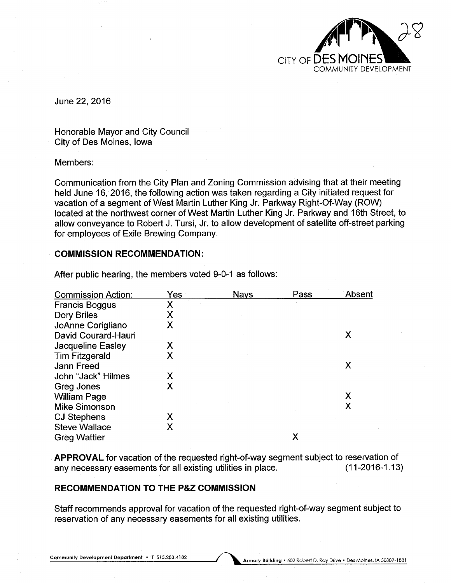

June 22, 2016

Honorable Mayor and City Council City of Des Moines, Iowa

#### Members:

Communication from the City Plan and Zoning Commission advising that at their meeting held June 16, 2016, the following action was taken regarding a City initiated request for vacation of a segment of West Martin Luther King Jr. Parkway Right-Of-Way (ROW) located at the northwest corner of West Martin Luther King Jr. Parkway and 16th Street, to allow conveyance to Robert J. Tursi, Jr. to allow development of satellite off-street parking for employees of Exile Brewing Company.

#### COMMISSION RECOMMENDATION:

| <b>Commission Action:</b> | Yes          | <b>Nays</b> | Pass | Absent |
|---------------------------|--------------|-------------|------|--------|
| <b>Francis Boggus</b>     | Χ            |             |      |        |
| Dory Briles               | Х            |             |      |        |
| JoAnne Corigliano         | $\mathsf{X}$ |             |      |        |
| David Courard-Hauri       |              |             |      | Χ      |
| <b>Jacqueline Easley</b>  | Х            |             |      |        |
| <b>Tim Fitzgerald</b>     | Χ            |             |      |        |
| <b>Jann Freed</b>         |              |             |      | Χ      |
| John "Jack" Hilmes        | Х            |             |      |        |
| Greg Jones                | X            |             |      |        |
| <b>William Page</b>       |              |             |      | Χ      |
| <b>Mike Simonson</b>      |              |             |      |        |
| <b>CJ Stephens</b>        | Х            |             |      |        |
| <b>Steve Wallace</b>      | Х            |             |      |        |
| <b>Greg Wattier</b>       |              |             | Х    |        |

After public hearing, the members voted 9-0-1 as follows:

APPROVAL for vacation of the requested right-of-way segment subject to reservation of any necessary easements for all existing utilities in place. (11-2016-1.13)

# RECOMMENDATION TO THE P&Z COMMISSION

Staff recommends approval for vacation of the requested right-of-way segment subject to reservation of any necessary easements for all existing utilities.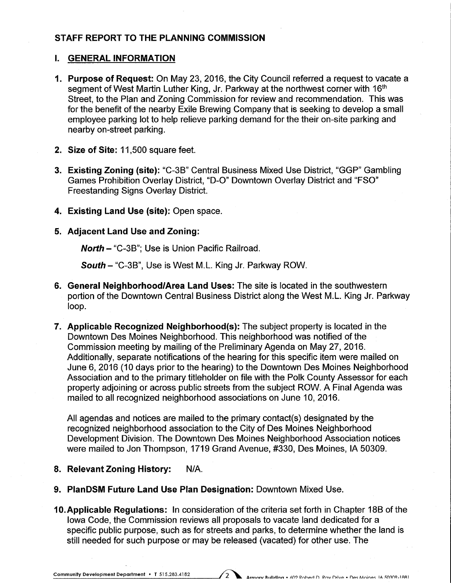# STAFF REPORT TO THE PLANNING COMMISSION

# I. GENERAL INFORMATION

- 1. Purpose of Request: On May 23, 2016, the City Council referred a request to vacate a segment of West Martin Luther King, Jr. Parkway at the northwest corner with 16<sup>th</sup> Street, to the Plan and Zoning Commission for review and recommendation. This was for the benefit of the nearby Exile Brewing Company that is seeking to develop a small employee parking lot to help relieve parking demand for the their on-site parking and nearby on-street parking.
- 2. Size of Site: 11,500 square feet.
- 3. Existing Zoning (site): "C-3B" Central Business Mixed Use District, "GGP" Gambling Games Prohibition Overlay District, "D-0" Downtown Overlay District and "FSO" Freestanding Signs Overlay District.
- 4. Existing Land Use (site): Open space.
- 5. Adjacent Land Use and Zoning:

North - "C-3B": Use is Union Pacific Railroad.

South - "C-3B", Use is West M.L. King Jr. Parkway ROW.

- 6. General Neighborhood/Area Land Uses: The site is located in the southwestern portion of the Downtown Central Business District along the West M.L. King Jr. Parkway loop.
- 7. Applicable Recognized Neighborhood(s): The subject property is located in the Downtown Des Moines Neighborhood. This neighborhood was notified of the Commission meeting by mailing of the Preliminary Agenda on May 27, 2016. Additionally, separate notifications of the hearing for this specific item were mailed on June 6, 2016 (10 days prior to the hearing) to the Downtown Des Moines Neighborhood Association and to the primary titleholder on file with the Polk County Assessor for each property adjoining or across public streets from the subject ROW. A Final Agenda was mailed to all recognized neighborhood associations on June 10, 2016.

All agendas and notices are mailed to the primary contact(s) designated by the recognized neighborhood association to the City of Des Moines Neighborhood Development Division. The Downtown Des Moines Neighborhood Association notices were mailed to Jon Thompson, 1719 Grand Avenue, #330, Des Moines, IA 50309.

- 8. Relevant Zoning History: N/A.
- 9. PlanDSM Future Land Use Plan Designation: Downtown Mixed Use.
- 10. Applicable Regulations: In consideration of the criteria set forth in Chapter 18B of the Iowa Code, the Commission reviews all proposals to vacate land dedicated for a specific public purpose, such as for streets and parks, to determine whether the land is still needed for such purpose or may be released (vacated) for other use. The